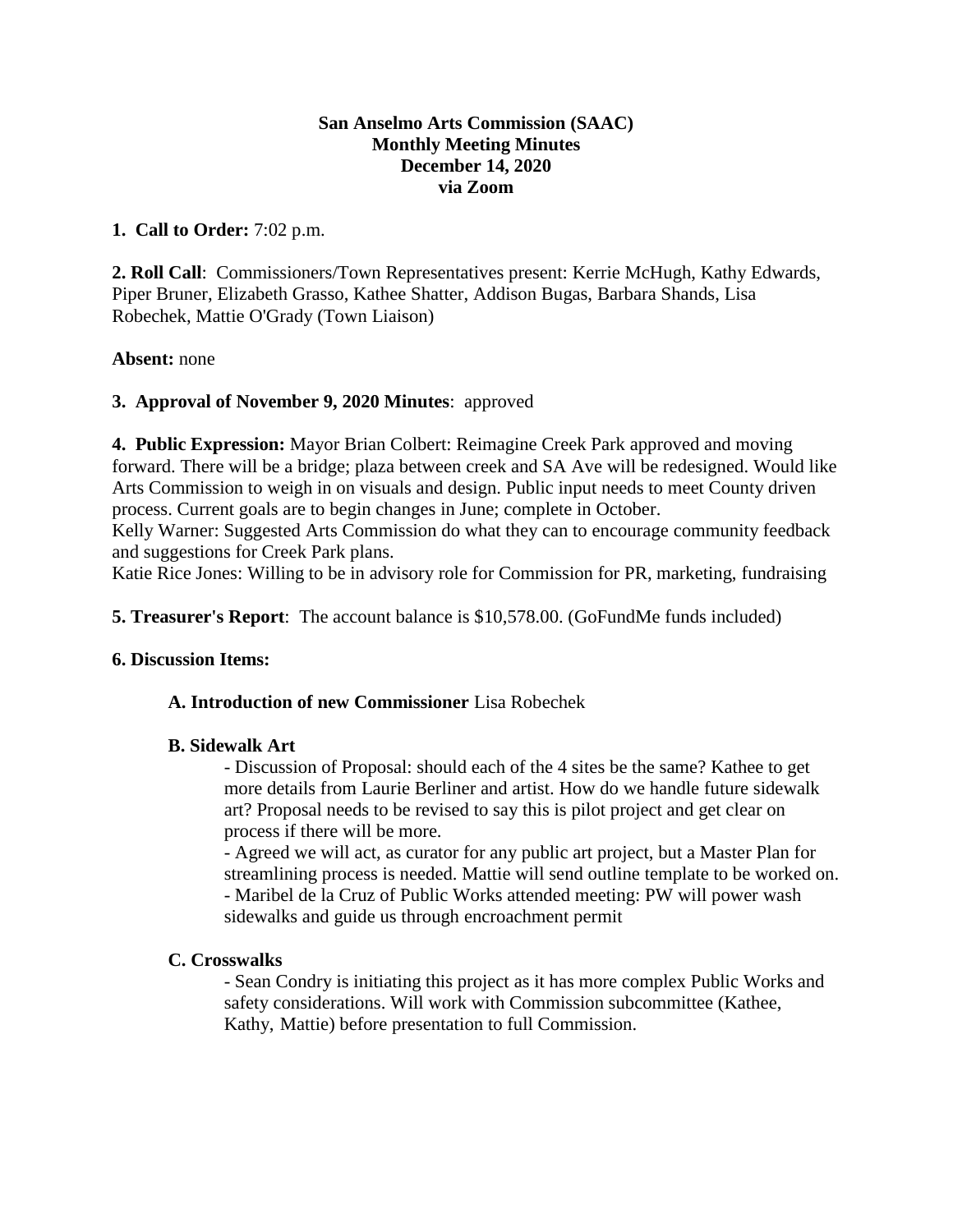### **San Anselmo Arts Commission (SAAC) Monthly Meeting Minutes December 14, 2020 via Zoom**

# **1. Call to Order:** 7:02 p.m.

**2. Roll Call**: Commissioners/Town Representatives present: Kerrie McHugh, Kathy Edwards, Piper Bruner, Elizabeth Grasso, Kathee Shatter, Addison Bugas, Barbara Shands, Lisa Robechek, Mattie O'Grady (Town Liaison)

**Absent:** none

# **3. Approval of November 9, 2020 Minutes**: approved

**4. Public Expression:** Mayor Brian Colbert: Reimagine Creek Park approved and moving forward. There will be a bridge; plaza between creek and SA Ave will be redesigned. Would like Arts Commission to weigh in on visuals and design. Public input needs to meet County driven process. Current goals are to begin changes in June; complete in October. Kelly Warner: Suggested Arts Commission do what they can to encourage community feedback and suggestions for Creek Park plans.

Katie Rice Jones: Willing to be in advisory role for Commission for PR, marketing, fundraising

**5. Treasurer's Report**: The account balance is \$10,578.00. (GoFundMe funds included)

# **6. Discussion Items:**

**A. Introduction of new Commissioner** Lisa Robechek

# **B. Sidewalk Art**

- Discussion of Proposal: should each of the 4 sites be the same? Kathee to get more details from Laurie Berliner and artist. How do we handle future sidewalk art? Proposal needs to be revised to say this is pilot project and get clear on process if there will be more.

- Agreed we will act, as curator for any public art project, but a Master Plan for streamlining process is needed. Mattie will send outline template to be worked on. - Maribel de la Cruz of Public Works attended meeting: PW will power wash sidewalks and guide us through encroachment permit

# **C. Crosswalks**

- Sean Condry is initiating this project as it has more complex Public Works and safety considerations. Will work with Commission subcommittee (Kathee, Kathy, Mattie) before presentation to full Commission.